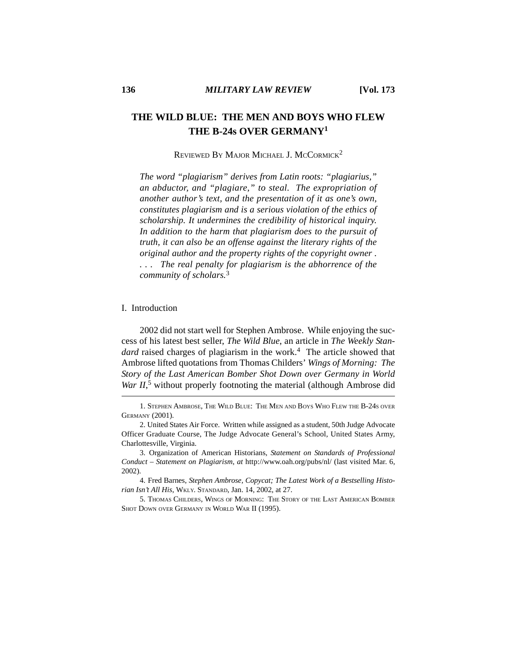## **THE WILD BLUE: THE MEN AND BOYS WHO FLEW THE B-24s OVER GERMANY1**

### REVIEWED BY MAJOR MICHAEL J. MCCORMICK<sup>2</sup>

*The word "plagiarism" derives from Latin roots: "plagiarius," an abductor, and "plagiare," to steal. The expropriation of another author's text, and the presentation of it as one's own, constitutes plagiarism and is a serious violation of the ethics of scholarship. It undermines the credibility of historical inquiry. In addition to the harm that plagiarism does to the pursuit of truth, it can also be an offense against the literary rights of the original author and the property rights of the copyright owner . . . . The real penalty for plagiarism is the abhorrence of the community of scholars.*<sup>3</sup>

#### I. Introduction

2002 did not start well for Stephen Ambrose. While enjoying the success of his latest best seller, *The Wild Blue*, an article in *The Weekly Standard* raised charges of plagiarism in the work.<sup>4</sup> The article showed that Ambrose lifted quotations from Thomas Childers' *Wings of Morning: The Story of the Last American Bomber Shot Down over Germany in World* War II,<sup>5</sup> without properly footnoting the material (although Ambrose did

1. STEPHEN AMBROSE, THE WILD BLUE: THE MEN AND BOYS WHO FLEW THE B-24S OVER GERMANY (2001).

<sup>2.</sup> United States Air Force. Written while assigned as a student, 50th Judge Advocate Officer Graduate Course, The Judge Advocate General's School, United States Army, Charlottesville, Virginia.

<sup>3.</sup> Organization of American Historians, *Statement on Standards of Professional Conduct – Statement on Plagiarism*, *at* http://www.oah.org/pubs/nl/ (last visited Mar. 6, 2002).

<sup>4.</sup> Fred Barnes, *Stephen Ambrose, Copycat; The Latest Work of a Bestselling Historian Isn't All His*, WKLY. STANDARD, Jan. 14, 2002, at 27.

<sup>5.</sup> THOMAS CHILDERS, WINGS OF MORNING: THE STORY OF THE LAST AMERICAN BOMBER SHOT DOWN OVER GERMANY IN WORLD WAR II (1995).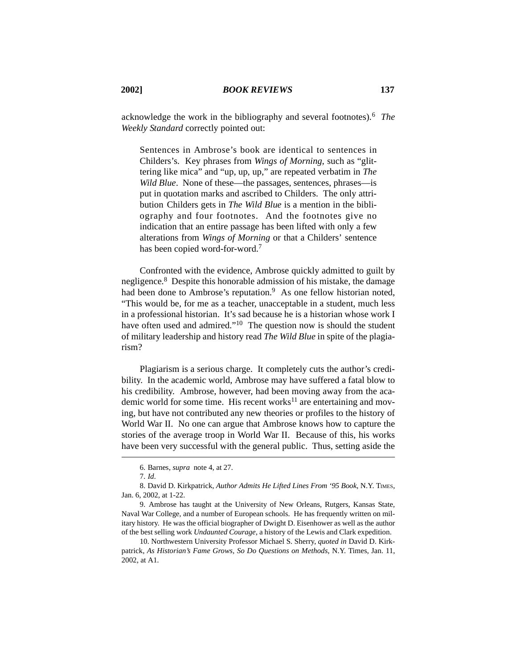*Weekly Standard* correctly pointed out:

Sentences in Ambrose's book are identical to sentences in Childers's. Key phrases from *Wings of Morning*, such as "glittering like mica" and "up, up, up," are repeated verbatim in *The Wild Blue.* None of these—the passages, sentences, phrases—is put in quotation marks and ascribed to Childers. The only attribution Childers gets in *The Wild Blue* is a mention in the bibliography and four footnotes. And the footnotes give no indication that an entire passage has been lifted with only a few alterations from *Wings of Morning* or that a Childers' sentence has been copied word-for-word.7

Confronted with the evidence, Ambrose quickly admitted to guilt by negligence*.* 8 Despite this honorable admission of his mistake, the damage had been done to Ambrose's reputation.<sup>9</sup> As one fellow historian noted, "This would be, for me as a teacher, unacceptable in a student, much less in a professional historian. It's sad because he is a historian whose work I have often used and admired."<sup>10</sup> The question now is should the student of military leadership and history read *The Wild Blue* in spite of the plagiarism?

Plagiarism is a serious charge. It completely cuts the author's credibility. In the academic world, Ambrose may have suffered a fatal blow to his credibility. Ambrose, however, had been moving away from the academic world for some time. His recent works<sup>11</sup> are entertaining and moving, but have not contributed any new theories or profiles to the history of World War II. No one can argue that Ambrose knows how to capture the stories of the average troop in World War II. Because of this, his works have been very successful with the general public. Thus, setting aside the

<sup>6.</sup> Barnes, *supra* note 4, at 27.

<sup>7.</sup> *Id*.

<sup>8.</sup> David D. Kirkpatrick, *Author Admits He Lifted Lines From '95 Book*, N.Y. TIMES, Jan. 6, 2002, at 1-22.

<sup>9.</sup> Ambrose has taught at the University of New Orleans, Rutgers, Kansas State, Naval War College, and a number of European schools. He has frequently written on military history. He was the official biographer of Dwight D. Eisenhower as well as the author of the best selling work *Undaunted Courage*, a history of the Lewis and Clark expedition.

<sup>10.</sup> Northwestern University Professor Michael S. Sherry, *quoted in* David D. Kirkpatrick, *As Historian's Fame Grows, So Do Questions on Methods*, N.Y. Times, Jan. 11, 2002, at A1.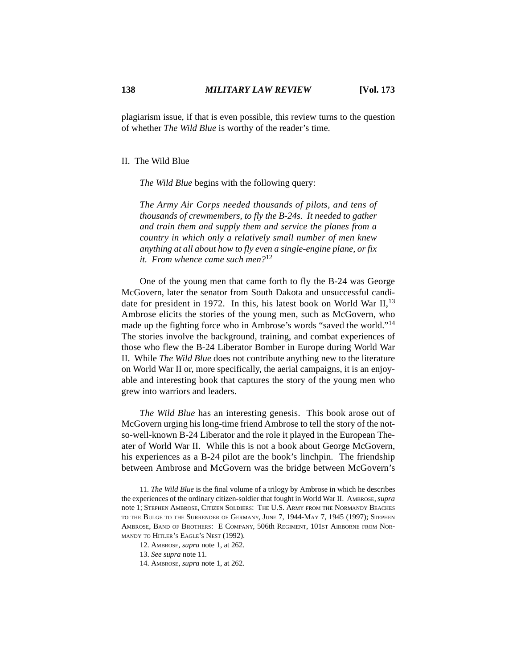plagiarism issue, if that is even possible, this review turns to the question of whether *The Wild Blue* is worthy of the reader's time.

#### II. The Wild Blue

*The Wild Blue* begins with the following query:

*The Army Air Corps needed thousands of pilots, and tens of thousands of crewmembers, to fly the B-24s. It needed to gather and train them and supply them and service the planes from a country in which only a relatively small number of men knew anything at all about how to fly even a single-engine plane, or fix it. From whence came such men?*<sup>12</sup>

One of the young men that came forth to fly the B-24 was George McGovern, later the senator from South Dakota and unsuccessful candidate for president in 1972. In this, his latest book on World War  $II$ ,  $13$ Ambrose elicits the stories of the young men, such as McGovern, who made up the fighting force who in Ambrose's words "saved the world."<sup>14</sup> The stories involve the background, training, and combat experiences of those who flew the B-24 Liberator Bomber in Europe during World War II. While *The Wild Blue* does not contribute anything new to the literature on World War II or, more specifically, the aerial campaigns, it is an enjoyable and interesting book that captures the story of the young men who grew into warriors and leaders.

*The Wild Blue* has an interesting genesis. This book arose out of McGovern urging his long-time friend Ambrose to tell the story of the notso-well-known B-24 Liberator and the role it played in the European Theater of World War II. While this is not a book about George McGovern, his experiences as a B-24 pilot are the book's linchpin. The friendship between Ambrose and McGovern was the bridge between McGovern's

14. AMBROSE, *supra* note 1, at 262.

<sup>11.</sup> *The Wild Blue* is the final volume of a trilogy by Ambrose in which he describes the experiences of the ordinary citizen-soldier that fought in World War II. AMBROSE, *supra* note 1; STEPHEN AMBROSE, CITIZEN SOLDIERS: THE U.S. ARMY FROM THE NORMANDY BEACHES TO THE BULGE TO THE SURRENDER OF GERMANY, JUNE 7, 1944-MAY 7, 1945 (1997); STEPHEN AMBROSE, BAND OF BROTHERS: E COMPANY, 506th REGIMENT, 101ST AIRBORNE FROM NOR-MANDY TO HITLER'S EAGLE'S NEST (1992).

<sup>12.</sup> AMBROSE, *supra* note 1, at 262.

<sup>13.</sup> *See supra* note 11.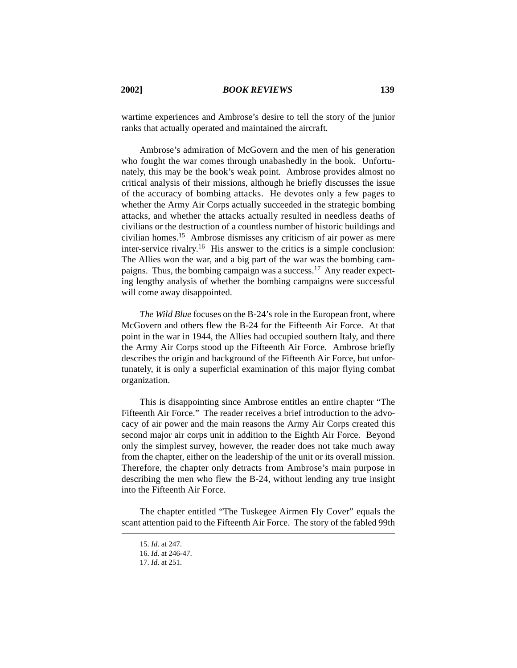wartime experiences and Ambrose's desire to tell the story of the junior ranks that actually operated and maintained the aircraft.

Ambrose's admiration of McGovern and the men of his generation who fought the war comes through unabashedly in the book. Unfortunately, this may be the book's weak point. Ambrose provides almost no critical analysis of their missions, although he briefly discusses the issue of the accuracy of bombing attacks. He devotes only a few pages to whether the Army Air Corps actually succeeded in the strategic bombing attacks, and whether the attacks actually resulted in needless deaths of civilians or the destruction of a countless number of historic buildings and civilian homes.15 Ambrose dismisses any criticism of air power as mere inter-service rivalry.16 His answer to the critics is a simple conclusion: The Allies won the war, and a big part of the war was the bombing campaigns. Thus, the bombing campaign was a success.17 Any reader expecting lengthy analysis of whether the bombing campaigns were successful will come away disappointed.

*The Wild Blue* focuses on the B-24's role in the European front, where McGovern and others flew the B-24 for the Fifteenth Air Force. At that point in the war in 1944, the Allies had occupied southern Italy, and there the Army Air Corps stood up the Fifteenth Air Force. Ambrose briefly describes the origin and background of the Fifteenth Air Force, but unfortunately, it is only a superficial examination of this major flying combat organization.

This is disappointing since Ambrose entitles an entire chapter "The Fifteenth Air Force." The reader receives a brief introduction to the advocacy of air power and the main reasons the Army Air Corps created this second major air corps unit in addition to the Eighth Air Force. Beyond only the simplest survey, however, the reader does not take much away from the chapter, either on the leadership of the unit or its overall mission. Therefore, the chapter only detracts from Ambrose's main purpose in describing the men who flew the B-24, without lending any true insight into the Fifteenth Air Force.

The chapter entitled "The Tuskegee Airmen Fly Cover" equals the scant attention paid to the Fifteenth Air Force. The story of the fabled 99th

<sup>15.</sup> *Id*. at 247.

<sup>16.</sup> *Id*. at 246-47.

<sup>17.</sup> *Id*. at 251.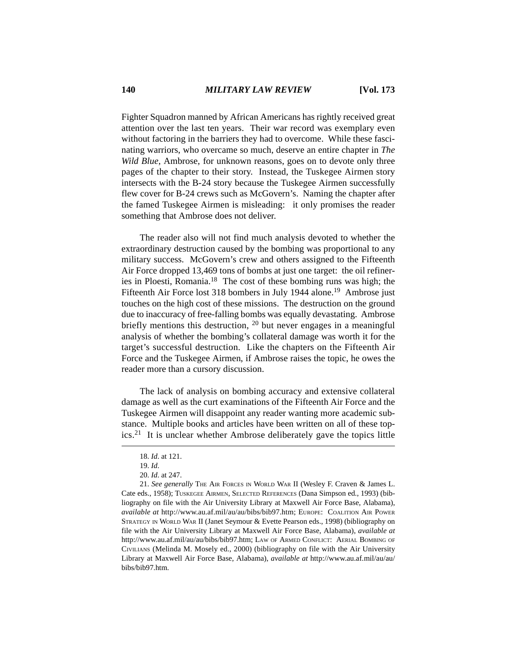Fighter Squadron manned by African Americans has rightly received great attention over the last ten years. Their war record was exemplary even without factoring in the barriers they had to overcome. While these fascinating warriors, who overcame so much, deserve an entire chapter in *The Wild Blue*, Ambrose, for unknown reasons, goes on to devote only three pages of the chapter to their story. Instead, the Tuskegee Airmen story intersects with the B-24 story because the Tuskegee Airmen successfully flew cover for B-24 crews such as McGovern's. Naming the chapter after the famed Tuskegee Airmen is misleading: it only promises the reader something that Ambrose does not deliver.

The reader also will not find much analysis devoted to whether the extraordinary destruction caused by the bombing was proportional to any military success. McGovern's crew and others assigned to the Fifteenth Air Force dropped 13,469 tons of bombs at just one target: the oil refineries in Ploesti, Romania.18 The cost of these bombing runs was high; the Fifteenth Air Force lost 318 bombers in July 1944 alone.<sup>19</sup> Ambrose just touches on the high cost of these missions. The destruction on the ground due to inaccuracy of free-falling bombs was equally devastating. Ambrose briefly mentions this destruction, <sup>20</sup> but never engages in a meaningful analysis of whether the bombing's collateral damage was worth it for the target's successful destruction. Like the chapters on the Fifteenth Air Force and the Tuskegee Airmen, if Ambrose raises the topic, he owes the reader more than a cursory discussion.

The lack of analysis on bombing accuracy and extensive collateral damage as well as the curt examinations of the Fifteenth Air Force and the Tuskegee Airmen will disappoint any reader wanting more academic substance. Multiple books and articles have been written on all of these topics.21 It is unclear whether Ambrose deliberately gave the topics little

<sup>18.</sup> *Id*. at 121.

<sup>19.</sup> *Id*.

<sup>20.</sup> *Id*. at 247.

<sup>21.</sup> See generally THE AIR FORCES IN WORLD WAR II (Wesley F. Craven & James L. Cate eds., 1958); TUSKEGEE AIRMEN, SELECTED REFERENCES (Dana Simpson ed., 1993) (bibliography on file with the Air University Library at Maxwell Air Force Base, Alabama), *available at* http://www.au.af.mil/au/au/bibs/bib97.htm; EUROPE: COALITION AIR POWER STRATEGY IN WORLD WAR II (Janet Seymour & Evette Pearson eds., 1998) (bibliography on file with the Air University Library at Maxwell Air Force Base, Alabama), *available at* http://www.au.af.mil/au/au/bibs/bib97.htm; LAW OF ARMED CONFLICT: AERIAL BOMBING OF CIVILIANS (Melinda M. Mosely ed., 2000) (bibliography on file with the Air University Library at Maxwell Air Force Base, Alabama), *available at* http://www.au.af.mil/au/au/ bibs/bib97.htm.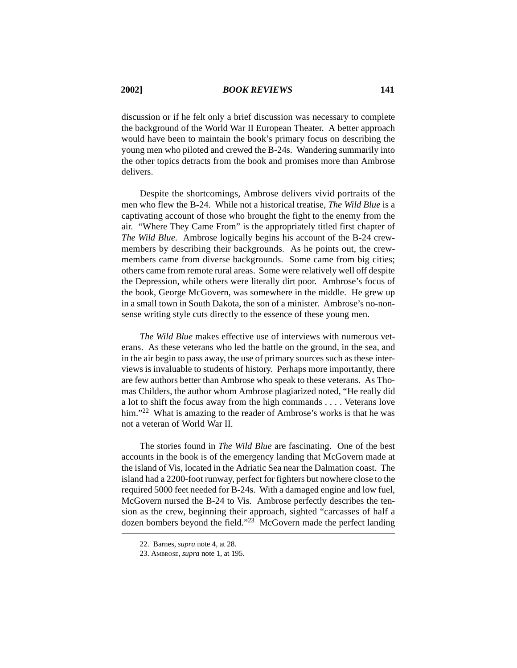discussion or if he felt only a brief discussion was necessary to complete the background of the World War II European Theater. A better approach would have been to maintain the book's primary focus on describing the young men who piloted and crewed the B-24s. Wandering summarily into the other topics detracts from the book and promises more than Ambrose delivers.

Despite the shortcomings, Ambrose delivers vivid portraits of the men who flew the B-24. While not a historical treatise, *The Wild Blue* is a captivating account of those who brought the fight to the enemy from the air. "Where They Came From" is the appropriately titled first chapter of *The Wild Blue*. Ambrose logically begins his account of the B-24 crewmembers by describing their backgrounds. As he points out, the crewmembers came from diverse backgrounds. Some came from big cities; others came from remote rural areas. Some were relatively well off despite the Depression, while others were literally dirt poor. Ambrose's focus of the book, George McGovern, was somewhere in the middle. He grew up in a small town in South Dakota, the son of a minister. Ambrose's no-nonsense writing style cuts directly to the essence of these young men.

*The Wild Blue* makes effective use of interviews with numerous veterans. As these veterans who led the battle on the ground, in the sea, and in the air begin to pass away, the use of primary sources such as these interviews is invaluable to students of history. Perhaps more importantly, there are few authors better than Ambrose who speak to these veterans. As Thomas Childers, the author whom Ambrose plagiarized noted, "He really did a lot to shift the focus away from the high commands . . . . Veterans love him."<sup>22</sup> What is amazing to the reader of Ambrose's works is that he was not a veteran of World War II.

The stories found in *The Wild Blue* are fascinating. One of the best accounts in the book is of the emergency landing that McGovern made at the island of Vis, located in the Adriatic Sea near the Dalmation coast. The island had a 2200-foot runway, perfect for fighters but nowhere close to the required 5000 feet needed for B-24s. With a damaged engine and low fuel, McGovern nursed the B-24 to Vis. Ambrose perfectly describes the tension as the crew, beginning their approach, sighted "carcasses of half a dozen bombers beyond the field."23 McGovern made the perfect landing

<sup>22.</sup> Barnes, *supra* note 4, at 28.

<sup>23.</sup> AMBROSE, *supra* note 1, at 195.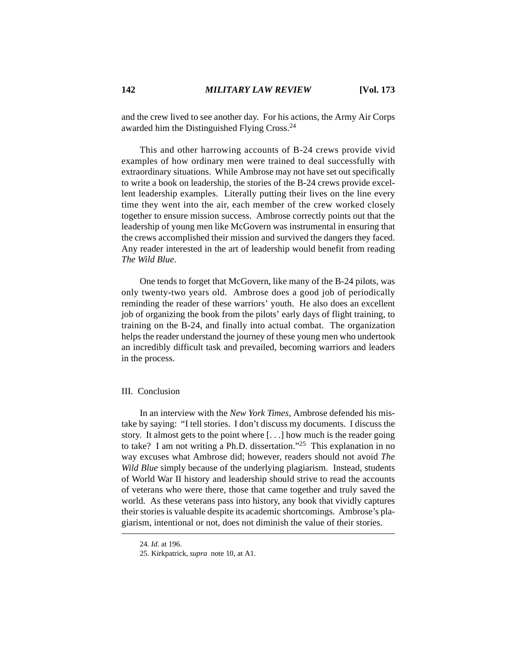and the crew lived to see another day. For his actions, the Army Air Corps awarded him the Distinguished Flying Cross.24

This and other harrowing accounts of B-24 crews provide vivid examples of how ordinary men were trained to deal successfully with extraordinary situations. While Ambrose may not have set out specifically to write a book on leadership, the stories of the B-24 crews provide excellent leadership examples. Literally putting their lives on the line every time they went into the air, each member of the crew worked closely together to ensure mission success. Ambrose correctly points out that the leadership of young men like McGovern was instrumental in ensuring that the crews accomplished their mission and survived the dangers they faced. Any reader interested in the art of leadership would benefit from reading *The Wild Blue*.

One tends to forget that McGovern, like many of the B-24 pilots, was only twenty-two years old. Ambrose does a good job of periodically reminding the reader of these warriors' youth. He also does an excellent job of organizing the book from the pilots' early days of flight training, to training on the B-24, and finally into actual combat. The organization helps the reader understand the journey of these young men who undertook an incredibly difficult task and prevailed, becoming warriors and leaders in the process.

#### III. Conclusion

In an interview with the *New York Times*, Ambrose defended his mistake by saying: "I tell stories. I don't discuss my documents. I discuss the story. It almost gets to the point where [. . .] how much is the reader going to take? I am not writing a Ph.D. dissertation."<sup>25</sup> This explanation in no way excuses what Ambrose did; however, readers should not avoid *The Wild Blue* simply because of the underlying plagiarism. Instead, students of World War II history and leadership should strive to read the accounts of veterans who were there, those that came together and truly saved the world. As these veterans pass into history, any book that vividly captures their stories is valuable despite its academic shortcomings. Ambrose's plagiarism, intentional or not, does not diminish the value of their stories.

<sup>24.</sup> *Id*. at 196.

<sup>25.</sup> Kirkpatrick, *supra* note 10, at A1.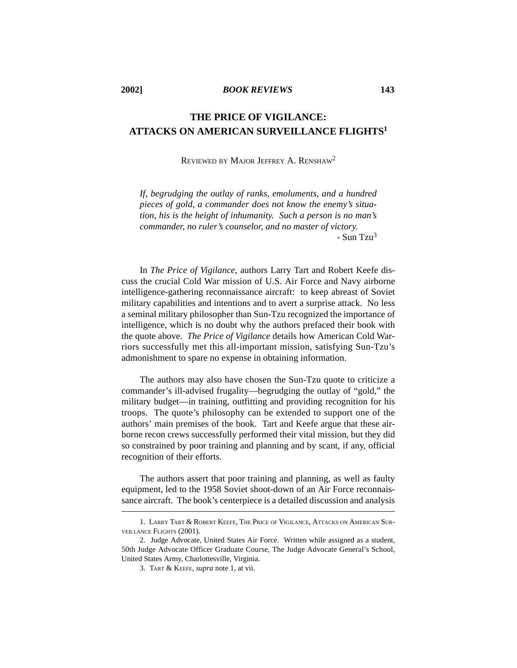# **THE PRICE OF VIGILANCE: ATTACKS ON AMERICAN SURVEILLANCE FLIGHTS1**

#### REVIEWED BY MAJOR JEFFREY A. RENSHAW2

*If, begrudging the outlay of ranks, emoluments, and a hundred pieces of gold, a commander does not know the enemy's situation, his is the height of inhumanity. Such a person is no man's commander, no ruler's counselor, and no master of victory.* - Sun Tzu3

In *The Price of Vigilance*, authors Larry Tart and Robert Keefe discuss the crucial Cold War mission of U.S. Air Force and Navy airborne intelligence-gathering reconnaissance aircraft: to keep abreast of Soviet military capabilities and intentions and to avert a surprise attack. No less a seminal military philosopher than Sun-Tzu recognized the importance of intelligence, which is no doubt why the authors prefaced their book with the quote above. *The Price of Vigilance* details how American Cold Warriors successfully met this all-important mission, satisfying Sun-Tzu's admonishment to spare no expense in obtaining information.

The authors may also have chosen the Sun-Tzu quote to criticize a commander's ill-advised frugality—begrudging the outlay of "gold," the military budget—in training, outfitting and providing recognition for his troops. The quote's philosophy can be extended to support one of the authors' main premises of the book. Tart and Keefe argue that these airborne recon crews successfully performed their vital mission, but they did so constrained by poor training and planning and by scant, if any, official recognition of their efforts.

The authors assert that poor training and planning, as well as faulty equipment, led to the 1958 Soviet shoot-down of an Air Force reconnaissance aircraft. The book's centerpiece is a detailed discussion and analysis

<sup>1.</sup> LARRY TART & ROBERT KEEFE, THE PRICE OF VIGILANCE, ATTACKS ON AMERICAN SUR-VEILLANCE FLIGHTS (2001).

<sup>2.</sup> Judge Advocate, United States Air Force. Written while assigned as a student, 50th Judge Advocate Officer Graduate Course, The Judge Advocate General's School, United States Army, Charlottesville, Virginia.

<sup>3.</sup> TART & KEEFE, *supra* note 1, at vii.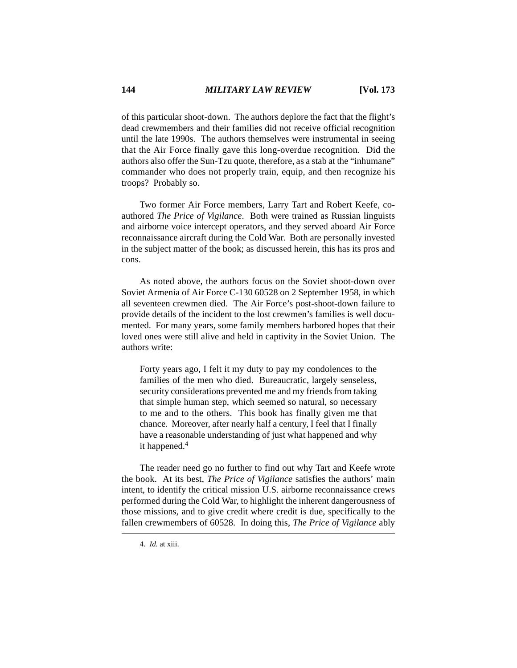of this particular shoot-down. The authors deplore the fact that the flight's dead crewmembers and their families did not receive official recognition until the late 1990s. The authors themselves were instrumental in seeing that the Air Force finally gave this long-overdue recognition. Did the authors also offer the Sun-Tzu quote, therefore, as a stab at the "inhumane" commander who does not properly train, equip, and then recognize his troops? Probably so.

Two former Air Force members, Larry Tart and Robert Keefe, coauthored *The Price of Vigilance*. Both were trained as Russian linguists and airborne voice intercept operators, and they served aboard Air Force reconnaissance aircraft during the Cold War. Both are personally invested in the subject matter of the book; as discussed herein, this has its pros and cons.

As noted above, the authors focus on the Soviet shoot-down over Soviet Armenia of Air Force C-130 60528 on 2 September 1958, in which all seventeen crewmen died. The Air Force's post-shoot-down failure to provide details of the incident to the lost crewmen's families is well documented. For many years, some family members harbored hopes that their loved ones were still alive and held in captivity in the Soviet Union. The authors write:

Forty years ago, I felt it my duty to pay my condolences to the families of the men who died. Bureaucratic, largely senseless, security considerations prevented me and my friends from taking that simple human step, which seemed so natural, so necessary to me and to the others. This book has finally given me that chance. Moreover, after nearly half a century, I feel that I finally have a reasonable understanding of just what happened and why it happened.4

The reader need go no further to find out why Tart and Keefe wrote the book. At its best, *The Price of Vigilance* satisfies the authors' main intent, to identify the critical mission U.S. airborne reconnaissance crews performed during the Cold War, to highlight the inherent dangerousness of those missions, and to give credit where credit is due, specifically to the fallen crewmembers of 60528. In doing this, *The Price of Vigilance* ably

<sup>4.</sup> *Id.* at xiii.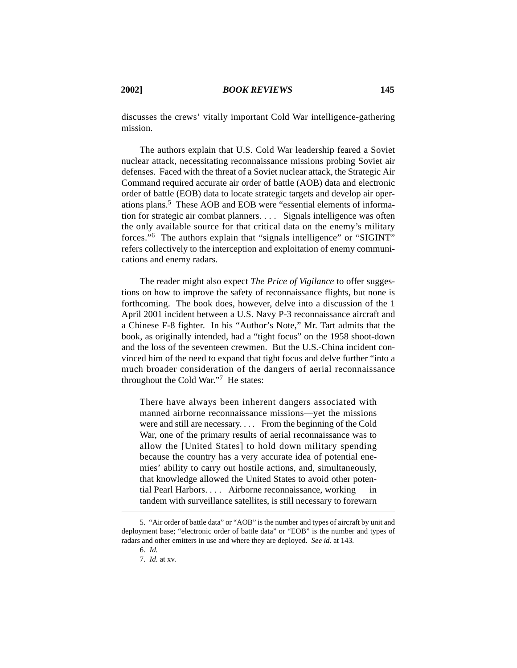discusses the crews' vitally important Cold War intelligence-gathering mission.

The authors explain that U.S. Cold War leadership feared a Soviet nuclear attack, necessitating reconnaissance missions probing Soviet air defenses. Faced with the threat of a Soviet nuclear attack, the Strategic Air Command required accurate air order of battle (AOB) data and electronic order of battle (EOB) data to locate strategic targets and develop air operations plans.5 These AOB and EOB were "essential elements of information for strategic air combat planners. . . . Signals intelligence was often the only available source for that critical data on the enemy's military forces."6 The authors explain that "signals intelligence" or "SIGINT" refers collectively to the interception and exploitation of enemy communications and enemy radars.

The reader might also expect *The Price of Vigilance* to offer suggestions on how to improve the safety of reconnaissance flights, but none is forthcoming. The book does, however, delve into a discussion of the 1 April 2001 incident between a U.S. Navy P-3 reconnaissance aircraft and a Chinese F-8 fighter. In his "Author's Note," Mr. Tart admits that the book, as originally intended, had a "tight focus" on the 1958 shoot-down and the loss of the seventeen crewmen. But the U.S.-China incident convinced him of the need to expand that tight focus and delve further "into a much broader consideration of the dangers of aerial reconnaissance throughout the Cold War."7 He states:

There have always been inherent dangers associated with manned airborne reconnaissance missions—yet the missions were and still are necessary. . . . From the beginning of the Cold War, one of the primary results of aerial reconnaissance was to allow the [United States] to hold down military spending because the country has a very accurate idea of potential enemies' ability to carry out hostile actions, and, simultaneously, that knowledge allowed the United States to avoid other potential Pearl Harbors. . . . Airborne reconnaissance, working tandem with surveillance satellites, is still necessary to forewarn

<sup>5. &</sup>quot;Air order of battle data" or "AOB" is the number and types of aircraft by unit and deployment base; "electronic order of battle data" or "EOB" is the number and types of radars and other emitters in use and where they are deployed. *See id.* at 143.

<sup>6.</sup> *Id.*

<sup>7.</sup> *Id.* at xv.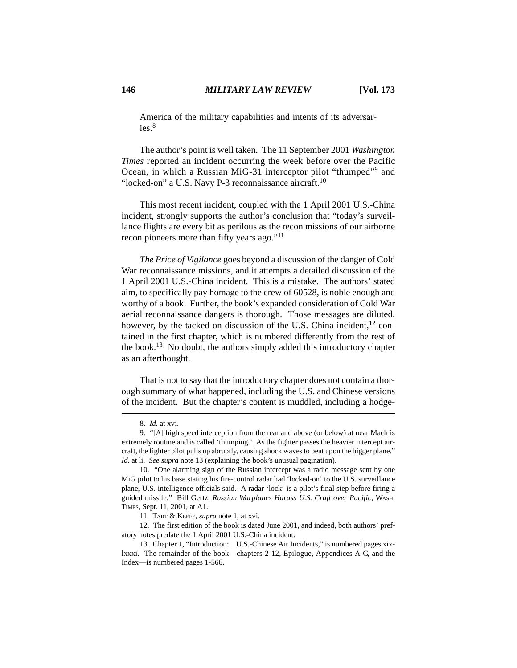America of the military capabilities and intents of its adversaries $8$ 

The author's point is well taken. The 11 September 2001 *Washington Times* reported an incident occurring the week before over the Pacific Ocean, in which a Russian MiG-31 interceptor pilot "thumped"9 and "locked-on" a U.S. Navy P-3 reconnaissance aircraft. $10$ 

This most recent incident, coupled with the 1 April 2001 U.S.-China incident, strongly supports the author's conclusion that "today's surveillance flights are every bit as perilous as the recon missions of our airborne recon pioneers more than fifty years ago."<sup>11</sup>

*The Price of Vigilance* goes beyond a discussion of the danger of Cold War reconnaissance missions, and it attempts a detailed discussion of the 1 April 2001 U.S.-China incident. This is a mistake. The authors' stated aim, to specifically pay homage to the crew of 60528, is noble enough and worthy of a book. Further, the book's expanded consideration of Cold War aerial reconnaissance dangers is thorough. Those messages are diluted, however, by the tacked-on discussion of the U.S.-China incident,  $^{12}$  contained in the first chapter, which is numbered differently from the rest of the book.13 No doubt, the authors simply added this introductory chapter as an afterthought.

That is not to say that the introductory chapter does not contain a thorough summary of what happened, including the U.S. and Chinese versions of the incident. But the chapter's content is muddled, including a hodge-

<sup>8.</sup> *Id.* at xvi.

<sup>9. &</sup>quot;[A] high speed interception from the rear and above (or below) at near Mach is extremely routine and is called 'thumping.' As the fighter passes the heavier intercept aircraft, the fighter pilot pulls up abruptly, causing shock waves to beat upon the bigger plane." *Id.* at li. *See supra* note 13 (explaining the book's unusual pagination).

<sup>10. &</sup>quot;One alarming sign of the Russian intercept was a radio message sent by one MiG pilot to his base stating his fire-control radar had 'locked-on' to the U.S. surveillance plane, U.S. intelligence officials said. A radar 'lock' is a pilot's final step before firing a guided missile." Bill Gertz, *Russian Warplanes Harass U.S. Craft over Pacific*, WASH. TIMES, Sept. 11, 2001, at A1.

<sup>11.</sup> TART & KEEFE, *supra* note 1, at xvi.

<sup>12.</sup> The first edition of the book is dated June 2001, and indeed, both authors' prefatory notes predate the 1 April 2001 U.S.-China incident.

<sup>13.</sup> Chapter 1, "Introduction: U.S.-Chinese Air Incidents," is numbered pages xixlxxxi. The remainder of the book—chapters 2-12, Epilogue, Appendices A-G, and the Index—is numbered pages 1-566.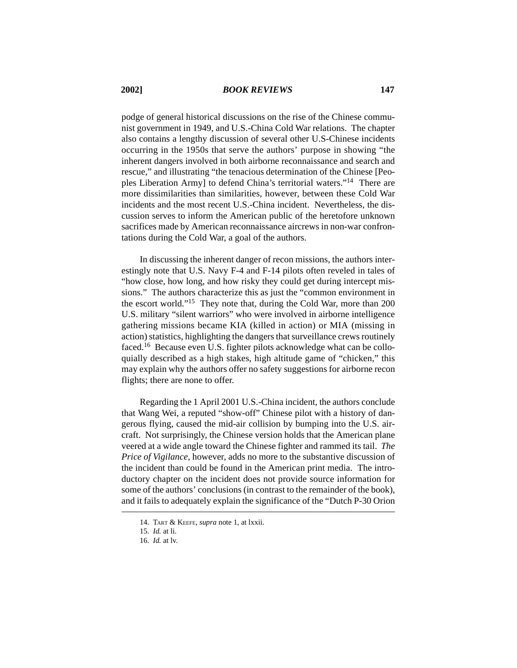podge of general historical discussions on the rise of the Chinese communist government in 1949, and U.S.-China Cold War relations. The chapter also contains a lengthy discussion of several other U.S-Chinese incidents occurring in the 1950s that serve the authors' purpose in showing "the inherent dangers involved in both airborne reconnaissance and search and rescue," and illustrating "the tenacious determination of the Chinese [Peoples Liberation Army] to defend China's territorial waters."14 There are more dissimilarities than similarities, however, between these Cold War incidents and the most recent U.S.-China incident. Nevertheless, the discussion serves to inform the American public of the heretofore unknown sacrifices made by American reconnaissance aircrews in non-war confrontations during the Cold War, a goal of the authors.

In discussing the inherent danger of recon missions, the authors interestingly note that U.S. Navy F-4 and F-14 pilots often reveled in tales of "how close, how long, and how risky they could get during intercept missions." The authors characterize this as just the "common environment in the escort world."15 They note that, during the Cold War, more than 200 U.S. military "silent warriors" who were involved in airborne intelligence gathering missions became KIA (killed in action) or MIA (missing in action) statistics, highlighting the dangers that surveillance crews routinely faced.16 Because even U.S. fighter pilots acknowledge what can be colloquially described as a high stakes, high altitude game of "chicken," this may explain why the authors offer no safety suggestions for airborne recon flights; there are none to offer.

Regarding the 1 April 2001 U.S.-China incident, the authors conclude that Wang Wei, a reputed "show-off" Chinese pilot with a history of dangerous flying, caused the mid-air collision by bumping into the U.S. aircraft. Not surprisingly, the Chinese version holds that the American plane veered at a wide angle toward the Chinese fighter and rammed its tail. *The Price of Vigilance*, however, adds no more to the substantive discussion of the incident than could be found in the American print media. The introductory chapter on the incident does not provide source information for some of the authors' conclusions (in contrast to the remainder of the book), and it fails to adequately explain the significance of the "Dutch P-30 Orion

<sup>14.</sup> TART & KEEFE, *supra* note 1, at lxxii.

<sup>15.</sup> *Id.* at li.

<sup>16.</sup> *Id.* at lv.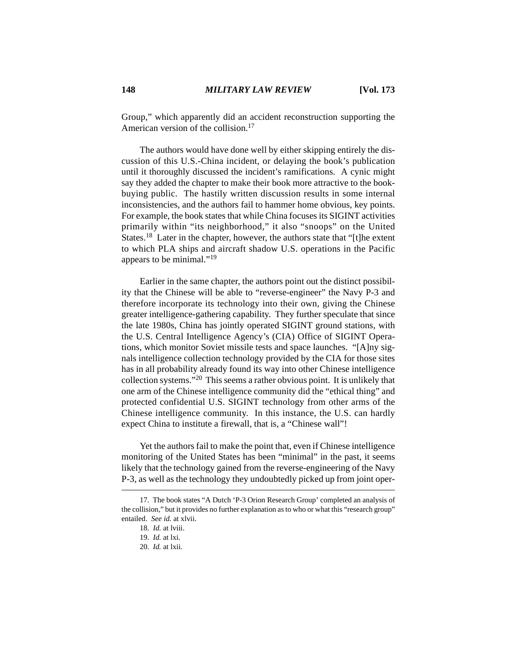Group," which apparently did an accident reconstruction supporting the American version of the collision.<sup>17</sup>

The authors would have done well by either skipping entirely the discussion of this U.S.-China incident, or delaying the book's publication until it thoroughly discussed the incident's ramifications. A cynic might say they added the chapter to make their book more attractive to the bookbuying public. The hastily written discussion results in some internal inconsistencies, and the authors fail to hammer home obvious, key points. For example, the book states that while China focuses its SIGINT activities primarily within "its neighborhood," it also "snoops" on the United States.<sup>18</sup> Later in the chapter, however, the authors state that "[t]he extent to which PLA ships and aircraft shadow U.S. operations in the Pacific appears to be minimal."19

Earlier in the same chapter, the authors point out the distinct possibility that the Chinese will be able to "reverse-engineer" the Navy P-3 and therefore incorporate its technology into their own, giving the Chinese greater intelligence-gathering capability. They further speculate that since the late 1980s, China has jointly operated SIGINT ground stations, with the U.S. Central Intelligence Agency's (CIA) Office of SIGINT Operations, which monitor Soviet missile tests and space launches. "[A]ny signals intelligence collection technology provided by the CIA for those sites has in all probability already found its way into other Chinese intelligence collection systems."20 This seems a rather obvious point. It is unlikely that one arm of the Chinese intelligence community did the "ethical thing" and protected confidential U.S. SIGINT technology from other arms of the Chinese intelligence community. In this instance, the U.S. can hardly expect China to institute a firewall, that is, a "Chinese wall"!

Yet the authors fail to make the point that, even if Chinese intelligence monitoring of the United States has been "minimal" in the past, it seems likely that the technology gained from the reverse-engineering of the Navy P-3, as well as the technology they undoubtedly picked up from joint oper-

<sup>17.</sup> The book states "A Dutch 'P-3 Orion Research Group' completed an analysis of the collision," but it provides no further explanation as to who or what this "research group" entailed. *See id.* at xlvii.

<sup>18.</sup> *Id.* at lviii.

<sup>19.</sup> *Id.* at lxi.

<sup>20.</sup> *Id.* at lxii.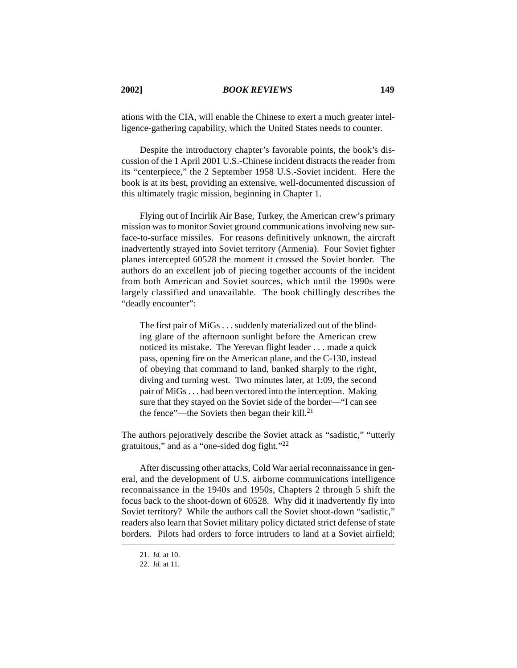ations with the CIA, will enable the Chinese to exert a much greater intelligence-gathering capability, which the United States needs to counter.

Despite the introductory chapter's favorable points, the book's discussion of the 1 April 2001 U.S.-Chinese incident distracts the reader from its "centerpiece," the 2 September 1958 U.S.-Soviet incident. Here the book is at its best, providing an extensive, well-documented discussion of this ultimately tragic mission, beginning in Chapter 1.

Flying out of Incirlik Air Base, Turkey, the American crew's primary mission was to monitor Soviet ground communications involving new surface-to-surface missiles. For reasons definitively unknown, the aircraft inadvertently strayed into Soviet territory (Armenia). Four Soviet fighter planes intercepted 60528 the moment it crossed the Soviet border. The authors do an excellent job of piecing together accounts of the incident from both American and Soviet sources, which until the 1990s were largely classified and unavailable. The book chillingly describes the "deadly encounter":

The first pair of MiGs . . . suddenly materialized out of the blinding glare of the afternoon sunlight before the American crew noticed its mistake. The Yerevan flight leader . . . made a quick pass, opening fire on the American plane, and the C-130, instead of obeying that command to land, banked sharply to the right, diving and turning west. Two minutes later, at 1:09, the second pair of MiGs . . . had been vectored into the interception. Making sure that they stayed on the Soviet side of the border—"I can see the fence"—the Soviets then began their kill. $^{21}$ 

The authors pejoratively describe the Soviet attack as "sadistic," "utterly gratuitous," and as a "one-sided dog fight."22

After discussing other attacks, Cold War aerial reconnaissance in general, and the development of U.S. airborne communications intelligence reconnaissance in the 1940s and 1950s, Chapters 2 through 5 shift the focus back to the shoot-down of 60528. Why did it inadvertently fly into Soviet territory? While the authors call the Soviet shoot-down "sadistic," readers also learn that Soviet military policy dictated strict defense of state borders. Pilots had orders to force intruders to land at a Soviet airfield;

<sup>21.</sup> *Id.* at 10.

<sup>22.</sup> *Id.* at 11.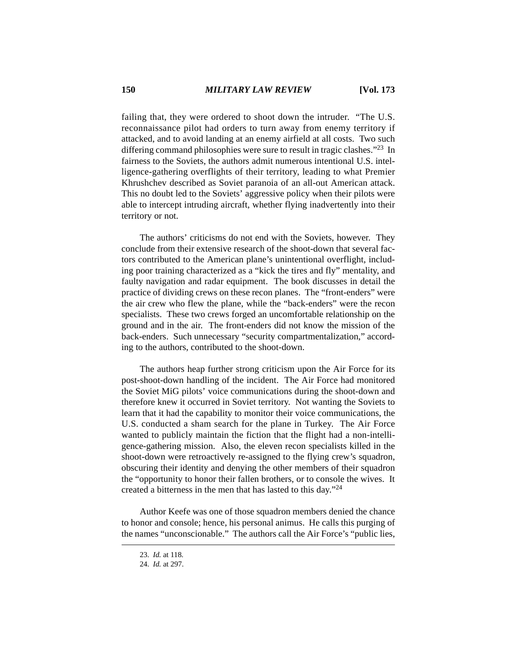failing that, they were ordered to shoot down the intruder. "The U.S. reconnaissance pilot had orders to turn away from enemy territory if attacked, and to avoid landing at an enemy airfield at all costs. Two such differing command philosophies were sure to result in tragic clashes."23 In fairness to the Soviets, the authors admit numerous intentional U.S. intelligence-gathering overflights of their territory, leading to what Premier Khrushchev described as Soviet paranoia of an all-out American attack. This no doubt led to the Soviets' aggressive policy when their pilots were able to intercept intruding aircraft, whether flying inadvertently into their territory or not.

The authors' criticisms do not end with the Soviets, however. They conclude from their extensive research of the shoot-down that several factors contributed to the American plane's unintentional overflight, including poor training characterized as a "kick the tires and fly" mentality, and faulty navigation and radar equipment. The book discusses in detail the practice of dividing crews on these recon planes. The "front-enders" were the air crew who flew the plane, while the "back-enders" were the recon specialists. These two crews forged an uncomfortable relationship on the ground and in the air. The front-enders did not know the mission of the back-enders. Such unnecessary "security compartmentalization," according to the authors, contributed to the shoot-down.

The authors heap further strong criticism upon the Air Force for its post-shoot-down handling of the incident. The Air Force had monitored the Soviet MiG pilots' voice communications during the shoot-down and therefore knew it occurred in Soviet territory. Not wanting the Soviets to learn that it had the capability to monitor their voice communications, the U.S. conducted a sham search for the plane in Turkey. The Air Force wanted to publicly maintain the fiction that the flight had a non-intelligence-gathering mission. Also, the eleven recon specialists killed in the shoot-down were retroactively re-assigned to the flying crew's squadron, obscuring their identity and denying the other members of their squadron the "opportunity to honor their fallen brothers, or to console the wives. It created a bitterness in the men that has lasted to this day."24

Author Keefe was one of those squadron members denied the chance to honor and console; hence, his personal animus. He calls this purging of the names "unconscionable." The authors call the Air Force's "public lies,

<sup>23.</sup> *Id.* at 118.

<sup>24.</sup> *Id.* at 297.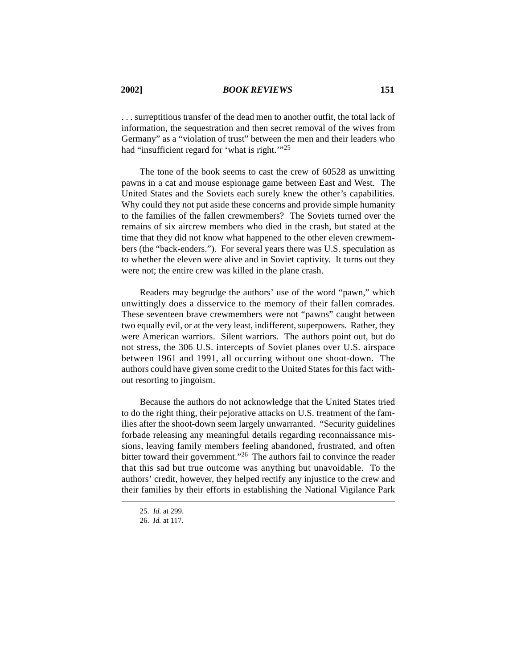. . . surreptitious transfer of the dead men to another outfit, the total lack of information, the sequestration and then secret removal of the wives from Germany" as a "violation of trust" between the men and their leaders who had "insufficient regard for 'what is right.'"25

The tone of the book seems to cast the crew of 60528 as unwitting pawns in a cat and mouse espionage game between East and West. The United States and the Soviets each surely knew the other's capabilities. Why could they not put aside these concerns and provide simple humanity to the families of the fallen crewmembers? The Soviets turned over the remains of six aircrew members who died in the crash, but stated at the time that they did not know what happened to the other eleven crewmembers (the "back-enders."). For several years there was U.S. speculation as to whether the eleven were alive and in Soviet captivity. It turns out they were not; the entire crew was killed in the plane crash.

Readers may begrudge the authors' use of the word "pawn," which unwittingly does a disservice to the memory of their fallen comrades. These seventeen brave crewmembers were not "pawns" caught between two equally evil, or at the very least, indifferent, superpowers. Rather, they were American warriors. Silent warriors. The authors point out, but do not stress, the 306 U.S. intercepts of Soviet planes over U.S. airspace between 1961 and 1991, all occurring without one shoot-down. The authors could have given some credit to the United States for this fact without resorting to jingoism.

Because the authors do not acknowledge that the United States tried to do the right thing, their pejorative attacks on U.S. treatment of the families after the shoot-down seem largely unwarranted. "Security guidelines forbade releasing any meaningful details regarding reconnaissance missions, leaving family members feeling abandoned, frustrated, and often bitter toward their government."26 The authors fail to convince the reader that this sad but true outcome was anything but unavoidable. To the authors' credit, however, they helped rectify any injustice to the crew and their families by their efforts in establishing the National Vigilance Park

<sup>25.</sup> *Id.* at 299.

<sup>26.</sup> *Id.* at 117.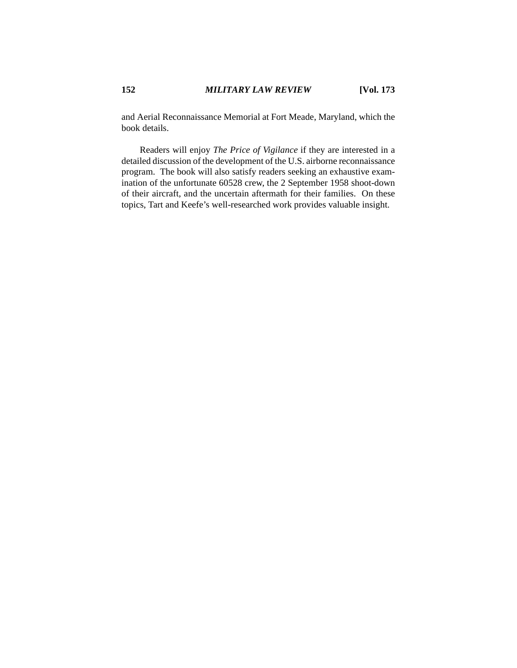and Aerial Reconnaissance Memorial at Fort Meade, Maryland, which the book details.

Readers will enjoy *The Price of Vigilance* if they are interested in a detailed discussion of the development of the U.S. airborne reconnaissance program. The book will also satisfy readers seeking an exhaustive examination of the unfortunate 60528 crew, the 2 September 1958 shoot-down of their aircraft, and the uncertain aftermath for their families. On these topics, Tart and Keefe's well-researched work provides valuable insight.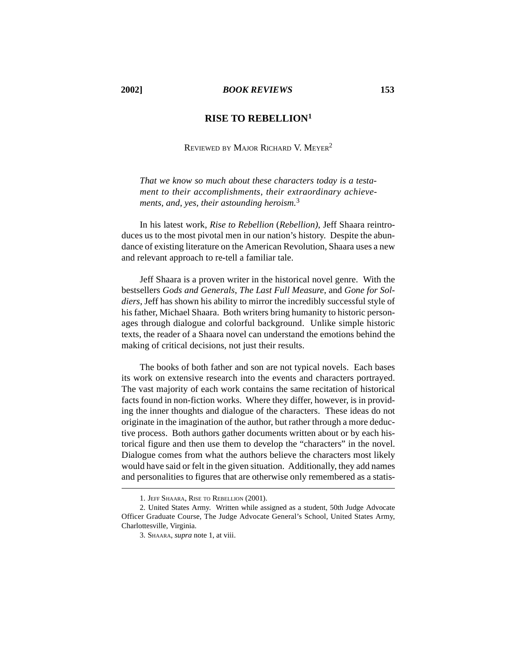#### **2002]** *BOOK REVIEWS* **153**

### **RISE TO REBELLION1**

REVIEWED BY MAJOR RICHARD V. MEYER2

*That we know so much about these characters today is a testament to their accomplishments, their extraordinary achievements, and, yes, their astounding heroism.*<sup>3</sup>

In his latest work, *Rise to Rebellion* (*Rebellion)*, Jeff Shaara reintroduces us to the most pivotal men in our nation's history. Despite the abundance of existing literature on the American Revolution, Shaara uses a new and relevant approach to re-tell a familiar tale.

Jeff Shaara is a proven writer in the historical novel genre. With the bestsellers *Gods and Generals*, *The Last Full Measure*, and *Gone for Soldiers*, Jeff has shown his ability to mirror the incredibly successful style of his father, Michael Shaara. Both writers bring humanity to historic personages through dialogue and colorful background. Unlike simple historic texts, the reader of a Shaara novel can understand the emotions behind the making of critical decisions, not just their results.

The books of both father and son are not typical novels. Each bases its work on extensive research into the events and characters portrayed. The vast majority of each work contains the same recitation of historical facts found in non-fiction works. Where they differ, however, is in providing the inner thoughts and dialogue of the characters. These ideas do not originate in the imagination of the author, but rather through a more deductive process. Both authors gather documents written about or by each historical figure and then use them to develop the "characters" in the novel. Dialogue comes from what the authors believe the characters most likely would have said or felt in the given situation. Additionally, they add names and personalities to figures that are otherwise only remembered as a statis-

<sup>1.</sup> JEFF SHAARA, RISE TO REBELLION (2001).

<sup>2.</sup> United States Army. Written while assigned as a student, 50th Judge Advocate Officer Graduate Course, The Judge Advocate General's School, United States Army, Charlottesville, Virginia.

<sup>3.</sup> SHAARA, *supra* note 1, at viii.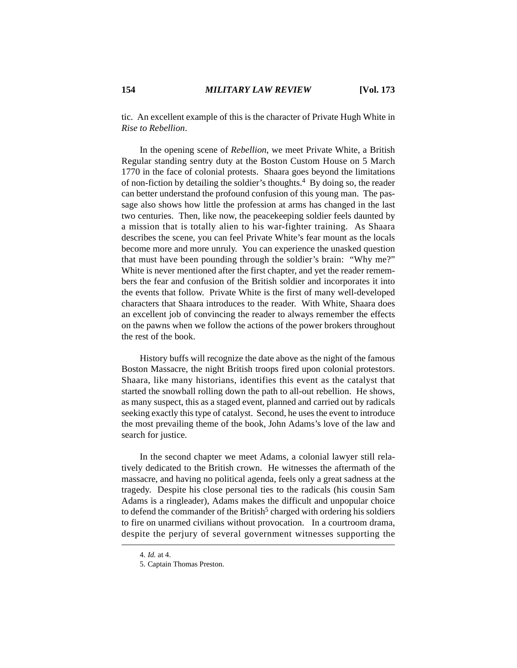tic. An excellent example of this is the character of Private Hugh White in *Rise to Rebellion*.

In the opening scene of *Rebellion*, we meet Private White, a British Regular standing sentry duty at the Boston Custom House on 5 March 1770 in the face of colonial protests. Shaara goes beyond the limitations of non-fiction by detailing the soldier's thoughts.4 By doing so, the reader can better understand the profound confusion of this young man. The passage also shows how little the profession at arms has changed in the last two centuries. Then, like now, the peacekeeping soldier feels daunted by a mission that is totally alien to his war-fighter training. As Shaara describes the scene, you can feel Private White's fear mount as the locals become more and more unruly. You can experience the unasked question that must have been pounding through the soldier's brain: "Why me?" White is never mentioned after the first chapter, and yet the reader remembers the fear and confusion of the British soldier and incorporates it into the events that follow. Private White is the first of many well-developed characters that Shaara introduces to the reader. With White, Shaara does an excellent job of convincing the reader to always remember the effects on the pawns when we follow the actions of the power brokers throughout the rest of the book.

History buffs will recognize the date above as the night of the famous Boston Massacre, the night British troops fired upon colonial protestors. Shaara, like many historians, identifies this event as the catalyst that started the snowball rolling down the path to all-out rebellion. He shows, as many suspect, this as a staged event, planned and carried out by radicals seeking exactly this type of catalyst. Second, he uses the event to introduce the most prevailing theme of the book, John Adams's love of the law and search for justice.

In the second chapter we meet Adams, a colonial lawyer still relatively dedicated to the British crown. He witnesses the aftermath of the massacre, and having no political agenda, feels only a great sadness at the tragedy. Despite his close personal ties to the radicals (his cousin Sam Adams is a ringleader), Adams makes the difficult and unpopular choice to defend the commander of the British<sup>5</sup> charged with ordering his soldiers to fire on unarmed civilians without provocation. In a courtroom drama, despite the perjury of several government witnesses supporting the

<sup>4.</sup> *Id.* at 4.

<sup>5.</sup> Captain Thomas Preston.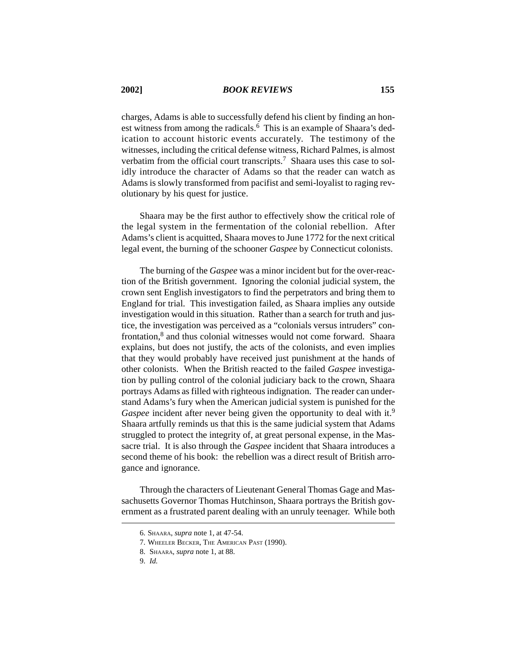charges, Adams is able to successfully defend his client by finding an honest witness from among the radicals.<sup>6</sup> This is an example of Shaara's dedication to account historic events accurately. The testimony of the witnesses, including the critical defense witness, Richard Palmes, is almost verbatim from the official court transcripts.<sup>7</sup> Shaara uses this case to solidly introduce the character of Adams so that the reader can watch as Adams is slowly transformed from pacifist and semi-loyalist to raging revolutionary by his quest for justice.

Shaara may be the first author to effectively show the critical role of the legal system in the fermentation of the colonial rebellion. After Adams's client is acquitted, Shaara moves to June 1772 for the next critical legal event, the burning of the schooner *Gaspee* by Connecticut colonists.

The burning of the *Gaspee* was a minor incident but for the over-reaction of the British government. Ignoring the colonial judicial system, the crown sent English investigators to find the perpetrators and bring them to England for trial. This investigation failed, as Shaara implies any outside investigation would in this situation. Rather than a search for truth and justice, the investigation was perceived as a "colonials versus intruders" confrontation,<sup>8</sup> and thus colonial witnesses would not come forward. Shaara explains, but does not justify, the acts of the colonists, and even implies that they would probably have received just punishment at the hands of other colonists. When the British reacted to the failed *Gaspee* investigation by pulling control of the colonial judiciary back to the crown, Shaara portrays Adams as filled with righteous indignation. The reader can understand Adams's fury when the American judicial system is punished for the *Gaspee* incident after never being given the opportunity to deal with it.<sup>9</sup> Shaara artfully reminds us that this is the same judicial system that Adams struggled to protect the integrity of, at great personal expense, in the Massacre trial. It is also through the *Gaspee* incident that Shaara introduces a second theme of his book: the rebellion was a direct result of British arrogance and ignorance.

Through the characters of Lieutenant General Thomas Gage and Massachusetts Governor Thomas Hutchinson, Shaara portrays the British government as a frustrated parent dealing with an unruly teenager. While both

<sup>6.</sup> SHAARA, *supra* note 1, at 47-54.

<sup>7.</sup> WHEELER BECKER, THE AMERICAN PAST (1990).

<sup>8.</sup> SHAARA, *supra* note 1, at 88.

<sup>9.</sup> *Id.*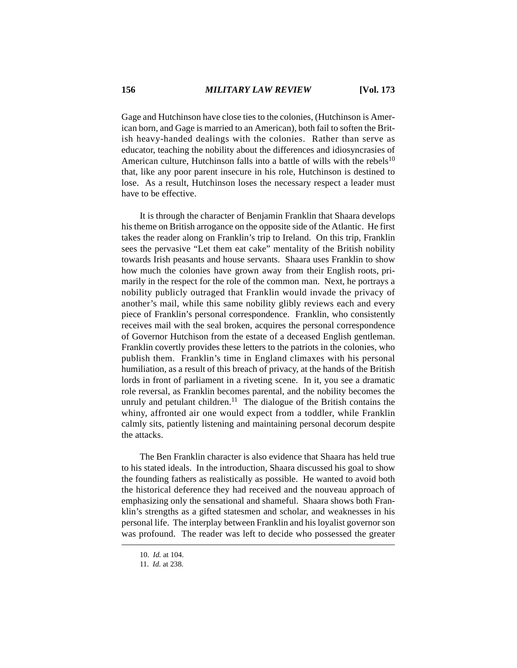Gage and Hutchinson have close ties to the colonies, (Hutchinson is American born, and Gage is married to an American), both fail to soften the British heavy-handed dealings with the colonies. Rather than serve as educator, teaching the nobility about the differences and idiosyncrasies of American culture, Hutchinson falls into a battle of wills with the rebels<sup>10</sup> that, like any poor parent insecure in his role, Hutchinson is destined to lose. As a result, Hutchinson loses the necessary respect a leader must have to be effective.

It is through the character of Benjamin Franklin that Shaara develops his theme on British arrogance on the opposite side of the Atlantic. He first takes the reader along on Franklin's trip to Ireland. On this trip, Franklin sees the pervasive "Let them eat cake" mentality of the British nobility towards Irish peasants and house servants. Shaara uses Franklin to show how much the colonies have grown away from their English roots, primarily in the respect for the role of the common man. Next, he portrays a nobility publicly outraged that Franklin would invade the privacy of another's mail, while this same nobility glibly reviews each and every piece of Franklin's personal correspondence. Franklin, who consistently receives mail with the seal broken, acquires the personal correspondence of Governor Hutchison from the estate of a deceased English gentleman. Franklin covertly provides these letters to the patriots in the colonies, who publish them. Franklin's time in England climaxes with his personal humiliation, as a result of this breach of privacy, at the hands of the British lords in front of parliament in a riveting scene. In it, you see a dramatic role reversal, as Franklin becomes parental, and the nobility becomes the unruly and petulant children.<sup>11</sup> The dialogue of the British contains the whiny, affronted air one would expect from a toddler, while Franklin calmly sits, patiently listening and maintaining personal decorum despite the attacks.

The Ben Franklin character is also evidence that Shaara has held true to his stated ideals. In the introduction, Shaara discussed his goal to show the founding fathers as realistically as possible. He wanted to avoid both the historical deference they had received and the nouveau approach of emphasizing only the sensational and shameful. Shaara shows both Franklin's strengths as a gifted statesmen and scholar, and weaknesses in his personal life. The interplay between Franklin and his loyalist governor son was profound. The reader was left to decide who possessed the greater

<sup>10.</sup> *Id.* at 104.

<sup>11.</sup> *Id.* at 238.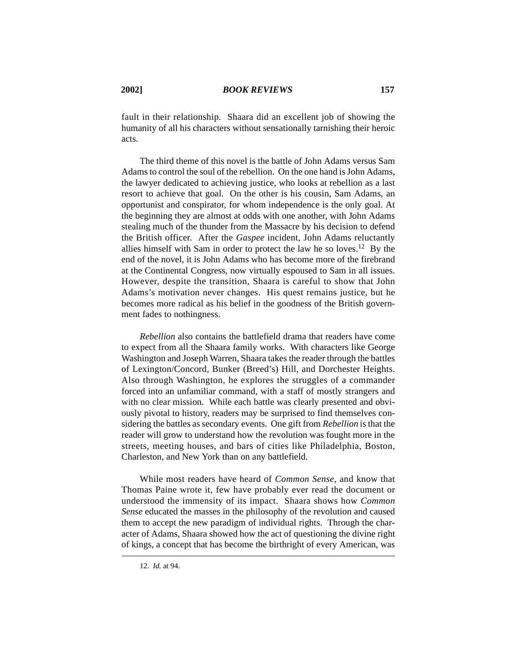fault in their relationship. Shaara did an excellent job of showing the humanity of all his characters without sensationally tarnishing their heroic acts.

The third theme of this novel is the battle of John Adams versus Sam Adams to control the soul of the rebellion. On the one hand is John Adams, the lawyer dedicated to achieving justice, who looks at rebellion as a last resort to achieve that goal. On the other is his cousin, Sam Adams, an opportunist and conspirator, for whom independence is the only goal. At the beginning they are almost at odds with one another, with John Adams stealing much of the thunder from the Massacre by his decision to defend the British officer. After the *Gaspee* incident, John Adams reluctantly allies himself with Sam in order to protect the law he so loves.12 By the end of the novel, it is John Adams who has become more of the firebrand at the Continental Congress, now virtually espoused to Sam in all issues. However, despite the transition, Shaara is careful to show that John Adams's motivation never changes. His quest remains justice, but he becomes more radical as his belief in the goodness of the British government fades to nothingness.

*Rebellion* also contains the battlefield drama that readers have come to expect from all the Shaara family works. With characters like George Washington and Joseph Warren, Shaara takes the reader through the battles of Lexington/Concord, Bunker (Breed's) Hill, and Dorchester Heights. Also through Washington, he explores the struggles of a commander forced into an unfamiliar command, with a staff of mostly strangers and with no clear mission. While each battle was clearly presented and obviously pivotal to history, readers may be surprised to find themselves considering the battles as secondary events. One gift from *Rebellion* is that the reader will grow to understand how the revolution was fought more in the streets, meeting houses, and bars of cities like Philadelphia, Boston, Charleston, and New York than on any battlefield.

While most readers have heard of *Common Sense*, and know that Thomas Paine wrote it, few have probably ever read the document or understood the immensity of its impact. Shaara shows how *Common Sense* educated the masses in the philosophy of the revolution and caused them to accept the new paradigm of individual rights. Through the character of Adams, Shaara showed how the act of questioning the divine right of kings, a concept that has become the birthright of every American, was

<sup>12.</sup> *Id.* at 94.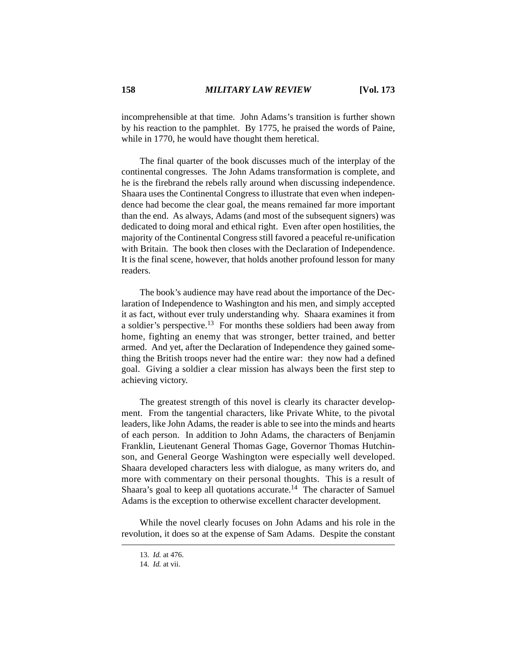incomprehensible at that time. John Adams's transition is further shown by his reaction to the pamphlet. By 1775, he praised the words of Paine, while in 1770, he would have thought them heretical.

The final quarter of the book discusses much of the interplay of the continental congresses. The John Adams transformation is complete, and he is the firebrand the rebels rally around when discussing independence. Shaara uses the Continental Congress to illustrate that even when independence had become the clear goal, the means remained far more important than the end. As always, Adams (and most of the subsequent signers) was dedicated to doing moral and ethical right. Even after open hostilities, the majority of the Continental Congress still favored a peaceful re-unification with Britain. The book then closes with the Declaration of Independence. It is the final scene, however, that holds another profound lesson for many readers.

The book's audience may have read about the importance of the Declaration of Independence to Washington and his men, and simply accepted it as fact, without ever truly understanding why. Shaara examines it from a soldier's perspective.13 For months these soldiers had been away from home, fighting an enemy that was stronger, better trained, and better armed. And yet, after the Declaration of Independence they gained something the British troops never had the entire war: they now had a defined goal. Giving a soldier a clear mission has always been the first step to achieving victory.

The greatest strength of this novel is clearly its character development. From the tangential characters, like Private White, to the pivotal leaders, like John Adams, the reader is able to see into the minds and hearts of each person. In addition to John Adams, the characters of Benjamin Franklin, Lieutenant General Thomas Gage, Governor Thomas Hutchinson, and General George Washington were especially well developed. Shaara developed characters less with dialogue, as many writers do, and more with commentary on their personal thoughts. This is a result of Shaara's goal to keep all quotations accurate.<sup>14</sup> The character of Samuel Adams is the exception to otherwise excellent character development.

While the novel clearly focuses on John Adams and his role in the revolution, it does so at the expense of Sam Adams. Despite the constant

<sup>13.</sup> *Id.* at 476.

<sup>14.</sup> *Id.* at vii.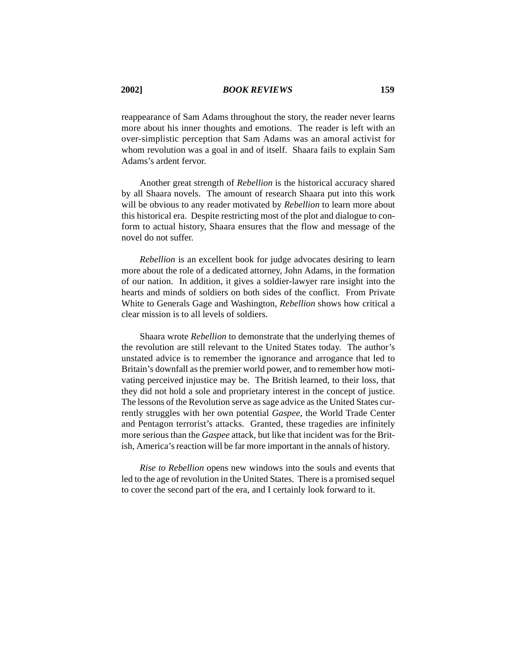reappearance of Sam Adams throughout the story, the reader never learns more about his inner thoughts and emotions. The reader is left with an over-simplistic perception that Sam Adams was an amoral activist for whom revolution was a goal in and of itself. Shaara fails to explain Sam Adams's ardent fervor.

Another great strength of *Rebellion* is the historical accuracy shared by all Shaara novels. The amount of research Shaara put into this work will be obvious to any reader motivated by *Rebellion* to learn more about this historical era. Despite restricting most of the plot and dialogue to conform to actual history, Shaara ensures that the flow and message of the novel do not suffer.

*Rebellion* is an excellent book for judge advocates desiring to learn more about the role of a dedicated attorney, John Adams, in the formation of our nation. In addition, it gives a soldier-lawyer rare insight into the hearts and minds of soldiers on both sides of the conflict. From Private White to Generals Gage and Washington, *Rebellion* shows how critical a clear mission is to all levels of soldiers.

Shaara wrote *Rebellion* to demonstrate that the underlying themes of the revolution are still relevant to the United States today. The author's unstated advice is to remember the ignorance and arrogance that led to Britain's downfall as the premier world power, and to remember how motivating perceived injustice may be. The British learned, to their loss, that they did not hold a sole and proprietary interest in the concept of justice. The lessons of the Revolution serve as sage advice as the United States currently struggles with her own potential *Gaspee*, the World Trade Center and Pentagon terrorist's attacks. Granted, these tragedies are infinitely more serious than the *Gaspee* attack, but like that incident was for the British, America's reaction will be far more important in the annals of history.

*Rise to Rebellion* opens new windows into the souls and events that led to the age of revolution in the United States. There is a promised sequel to cover the second part of the era, and I certainly look forward to it.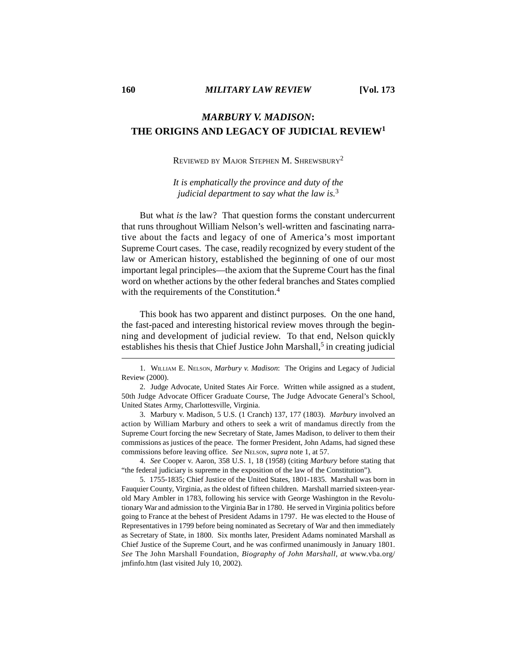# *MARBURY V. MADISON***: THE ORIGINS AND LEGACY OF JUDICIAL REVIEW1**

### REVIEWED BY MAJOR STEPHEN M. SHREWSBURY2

*It is emphatically the province and duty of the judicial department to say what the law is.*<sup>3</sup>

But what *is* the law? That question forms the constant undercurrent that runs throughout William Nelson's well-written and fascinating narrative about the facts and legacy of one of America's most important Supreme Court cases. The case, readily recognized by every student of the law or American history, established the beginning of one of our most important legal principles—the axiom that the Supreme Court has the final word on whether actions by the other federal branches and States complied with the requirements of the Constitution.<sup>4</sup>

This book has two apparent and distinct purposes. On the one hand, the fast-paced and interesting historical review moves through the beginning and development of judicial review. To that end, Nelson quickly establishes his thesis that Chief Justice John Marshall, $5$  in creating judicial

3. Marbury v. Madison, 5 U.S. (1 Cranch) 137, 177 (1803). *Marbury* involved an action by William Marbury and others to seek a writ of mandamus directly from the Supreme Court forcing the new Secretary of State, James Madison, to deliver to them their commissions as justices of the peace. The former President, John Adams, had signed these commissions before leaving office. *See* NELSON, *supra* note 1, at 57.

4. *See* Cooper v. Aaron, 358 U.S. 1, 18 (1958) (citing *Marbury* before stating that "the federal judiciary is supreme in the exposition of the law of the Constitution").

5. 1755-1835; Chief Justice of the United States, 1801-1835. Marshall was born in Fauquier County, Virginia, as the oldest of fifteen children. Marshall married sixteen-yearold Mary Ambler in 1783, following his service with George Washington in the Revolutionary War and admission to the Virginia Bar in 1780. He served in Virginia politics before going to France at the behest of President Adams in 1797. He was elected to the House of Representatives in 1799 before being nominated as Secretary of War and then immediately as Secretary of State, in 1800. Six months later, President Adams nominated Marshall as Chief Justice of the Supreme Court, and he was confirmed unanimously in January 1801. *See* The John Marshall Foundation, *Biography of John Marshall*, *at* www.vba.org/ jmfinfo.htm (last visited July 10, 2002).

<sup>1.</sup> WILLIAM E. NELSON, *Marbury v. Madison*: The Origins and Legacy of Judicial Review (2000).

<sup>2.</sup> Judge Advocate, United States Air Force. Written while assigned as a student, 50th Judge Advocate Officer Graduate Course, The Judge Advocate General's School, United States Army, Charlottesville, Virginia.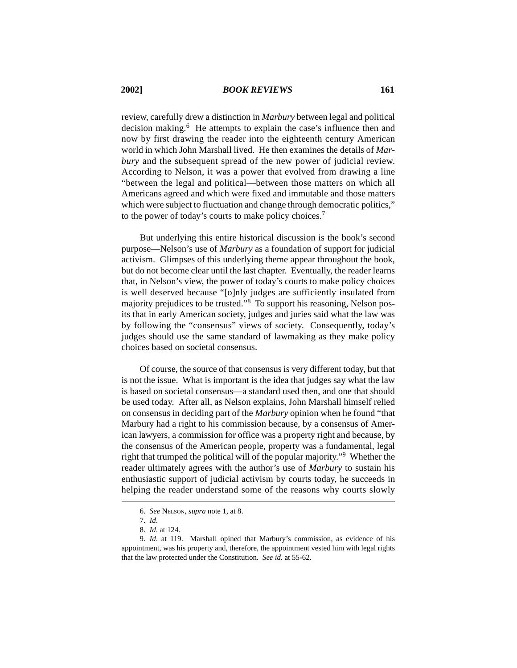review, carefully drew a distinction in *Marbury* between legal and political decision making.6He attempts to explain the case's influence then and now by first drawing the reader into the eighteenth century American world in which John Marshall lived. He then examines the details of *Marbury* and the subsequent spread of the new power of judicial review. According to Nelson, it was a power that evolved from drawing a line "between the legal and political—between those matters on which all Americans agreed and which were fixed and immutable and those matters which were subject to fluctuation and change through democratic politics," to the power of today's courts to make policy choices.7

But underlying this entire historical discussion is the book's second purpose—Nelson's use of *Marbury* as a foundation of support for judicial activism. Glimpses of this underlying theme appear throughout the book, but do not become clear until the last chapter. Eventually, the reader learns that, in Nelson's view, the power of today's courts to make policy choices is well deserved because "[o]nly judges are sufficiently insulated from majority prejudices to be trusted."8 To support his reasoning, Nelson posits that in early American society, judges and juries said what the law was by following the "consensus" views of society. Consequently, today's judges should use the same standard of lawmaking as they make policy choices based on societal consensus.

Of course, the source of that consensus is very different today, but that is not the issue. What is important is the idea that judges say what the law is based on societal consensus—a standard used then, and one that should be used today. After all, as Nelson explains, John Marshall himself relied on consensus in deciding part of the *Marbury* opinion when he found "that Marbury had a right to his commission because, by a consensus of American lawyers, a commission for office was a property right and because, by the consensus of the American people, property was a fundamental, legal right that trumped the political will of the popular majority."9 Whether the reader ultimately agrees with the author's use of *Marbury* to sustain his enthusiastic support of judicial activism by courts today, he succeeds in helping the reader understand some of the reasons why courts slowly

<sup>6.</sup> *See* NELSON, *supra* note 1, at 8.

<sup>7.</sup> *Id*.

<sup>8.</sup> *Id*. at 124.

<sup>9.</sup> *Id*. at 119. Marshall opined that Marbury's commission, as evidence of his appointment, was his property and, therefore, the appointment vested him with legal rights that the law protected under the Constitution. *See id.* at 55-62.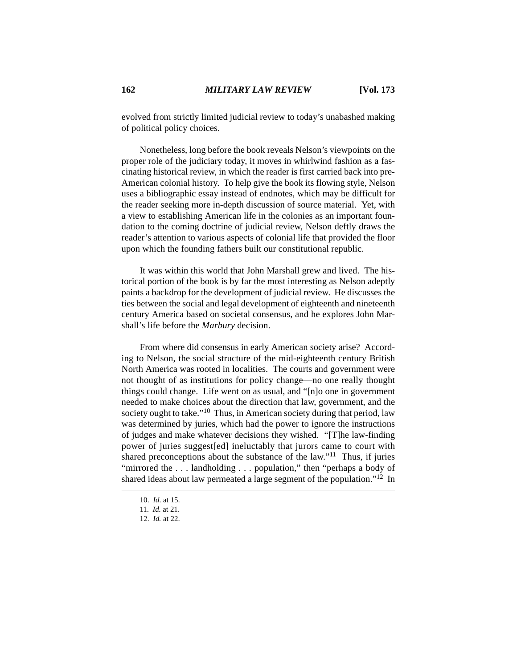evolved from strictly limited judicial review to today's unabashed making of political policy choices.

Nonetheless, long before the book reveals Nelson's viewpoints on the proper role of the judiciary today, it moves in whirlwind fashion as a fascinating historical review, in which the reader is first carried back into pre-American colonial history. To help give the book its flowing style, Nelson uses a bibliographic essay instead of endnotes, which may be difficult for the reader seeking more in-depth discussion of source material. Yet, with a view to establishing American life in the colonies as an important foundation to the coming doctrine of judicial review, Nelson deftly draws the reader's attention to various aspects of colonial life that provided the floor upon which the founding fathers built our constitutional republic.

It was within this world that John Marshall grew and lived. The historical portion of the book is by far the most interesting as Nelson adeptly paints a backdrop for the development of judicial review. He discusses the ties between the social and legal development of eighteenth and nineteenth century America based on societal consensus, and he explores John Marshall's life before the *Marbury* decision.

From where did consensus in early American society arise? According to Nelson, the social structure of the mid-eighteenth century British North America was rooted in localities. The courts and government were not thought of as institutions for policy change—no one really thought things could change. Life went on as usual, and "[n]o one in government needed to make choices about the direction that law, government, and the society ought to take."<sup>10</sup> Thus, in American society during that period, law was determined by juries, which had the power to ignore the instructions of judges and make whatever decisions they wished. "[T]he law-finding power of juries suggest[ed] ineluctably that jurors came to court with shared preconceptions about the substance of the  $law$ ."<sup>11</sup> Thus, if juries "mirrored the ... landholding ... population," then "perhaps a body of shared ideas about law permeated a large segment of the population."12 In

<sup>10.</sup> *Id*. at 15.

<sup>11.</sup> *Id.* at 21.

<sup>12.</sup> *Id.* at 22.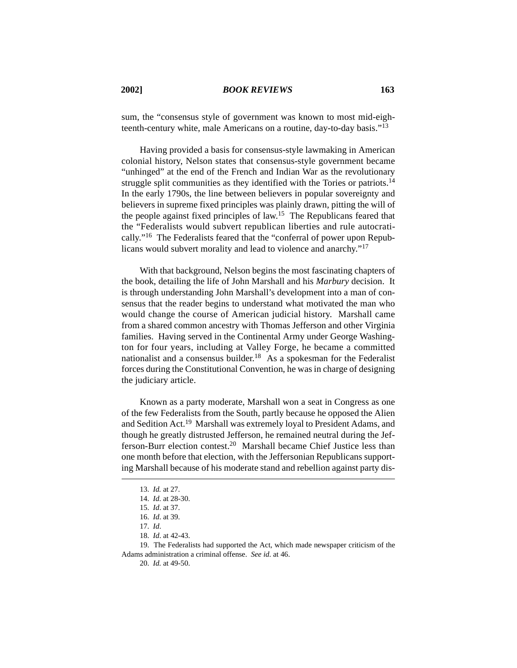sum, the "consensus style of government was known to most mid-eighteenth-century white, male Americans on a routine, day-to-day basis."<sup>13</sup>

Having provided a basis for consensus-style lawmaking in American colonial history, Nelson states that consensus-style government became "unhinged" at the end of the French and Indian War as the revolutionary struggle split communities as they identified with the Tories or patriots.<sup>14</sup> In the early 1790s, the line between believers in popular sovereignty and believers in supreme fixed principles was plainly drawn, pitting the will of the people against fixed principles of law.15 The Republicans feared that the "Federalists would subvert republican liberties and rule autocratically."16 The Federalists feared that the "conferral of power upon Republicans would subvert morality and lead to violence and anarchy."17

With that background, Nelson begins the most fascinating chapters of the book, detailing the life of John Marshall and his *Marbury* decision. It is through understanding John Marshall's development into a man of consensus that the reader begins to understand what motivated the man who would change the course of American judicial history. Marshall came from a shared common ancestry with Thomas Jefferson and other Virginia families. Having served in the Continental Army under George Washington for four years, including at Valley Forge, he became a committed nationalist and a consensus builder.<sup>18</sup> As a spokesman for the Federalist forces during the Constitutional Convention, he was in charge of designing the judiciary article.

Known as a party moderate, Marshall won a seat in Congress as one of the few Federalists from the South, partly because he opposed the Alien and Sedition Act.<sup>19</sup> Marshall was extremely loyal to President Adams, and though he greatly distrusted Jefferson, he remained neutral during the Jefferson-Burr election contest.20 Marshall became Chief Justice less than one month before that election, with the Jeffersonian Republicans supporting Marshall because of his moderate stand and rebellion against party dis-

<sup>13.</sup> *Id.* at 27.

<sup>14.</sup> *Id*. at 28-30.

<sup>15.</sup> *Id*. at 37.

<sup>16.</sup> *Id*. at 39.

<sup>17.</sup> *Id*.

<sup>18.</sup> *Id*. at 42-43.

<sup>19.</sup> The Federalists had supported the Act, which made newspaper criticism of the Adams administration a criminal offense. *See id.* at 46.

<sup>20.</sup> *Id.* at 49-50.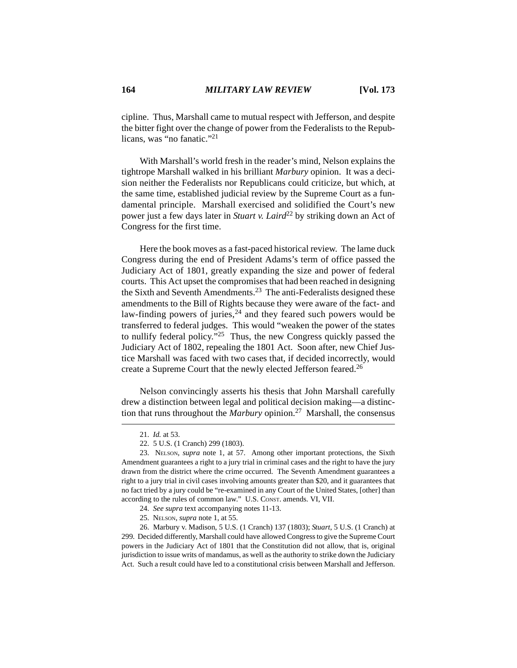cipline. Thus, Marshall came to mutual respect with Jefferson, and despite the bitter fight over the change of power from the Federalists to the Republicans, was "no fanatic."21

With Marshall's world fresh in the reader's mind, Nelson explains the tightrope Marshall walked in his brilliant *Marbury* opinion. It was a decision neither the Federalists nor Republicans could criticize, but which, at the same time, established judicial review by the Supreme Court as a fundamental principle. Marshall exercised and solidified the Court's new power just a few days later in *Stuart v. Laird*<sup>22</sup> by striking down an Act of Congress for the first time.

Here the book moves as a fast-paced historical review. The lame duck Congress during the end of President Adams's term of office passed the Judiciary Act of 1801, greatly expanding the size and power of federal courts. This Act upset the compromises that had been reached in designing the Sixth and Seventh Amendments.<sup>23</sup> The anti-Federalists designed these amendments to the Bill of Rights because they were aware of the fact- and law-finding powers of juries,<sup>24</sup> and they feared such powers would be transferred to federal judges. This would "weaken the power of the states to nullify federal policy."<sup>25</sup> Thus, the new Congress quickly passed the Judiciary Act of 1802, repealing the 1801 Act. Soon after, new Chief Justice Marshall was faced with two cases that, if decided incorrectly, would create a Supreme Court that the newly elected Jefferson feared.26

Nelson convincingly asserts his thesis that John Marshall carefully drew a distinction between legal and political decision making—a distinction that runs throughout the *Marbury* opinion.27 Marshall, the consensus

<sup>21.</sup> *Id.* at 53.

<sup>22. 5</sup> U.S. (1 Cranch) 299 (1803).

<sup>23.</sup> NELSON, *supra* note 1, at 57. Among other important protections, the Sixth Amendment guarantees a right to a jury trial in criminal cases and the right to have the jury drawn from the district where the crime occurred. The Seventh Amendment guarantees a right to a jury trial in civil cases involving amounts greater than \$20, and it guarantees that no fact tried by a jury could be "re-examined in any Court of the United States, [other] than according to the rules of common law." U.S. CONST. amends. VI, VII.

<sup>24.</sup> *See supra* text accompanying notes 11-13.

<sup>25.</sup> NELSON, *supra* note 1, at 55.

<sup>26.</sup> Marbury v. Madison, 5 U.S. (1 Cranch) 137 (1803); *Stuart*, 5 U.S. (1 Cranch) at 299. Decided differently, Marshall could have allowed Congress to give the Supreme Court powers in the Judiciary Act of 1801 that the Constitution did not allow, that is, original jurisdiction to issue writs of mandamus, as well as the authority to strike down the Judiciary Act. Such a result could have led to a constitutional crisis between Marshall and Jefferson.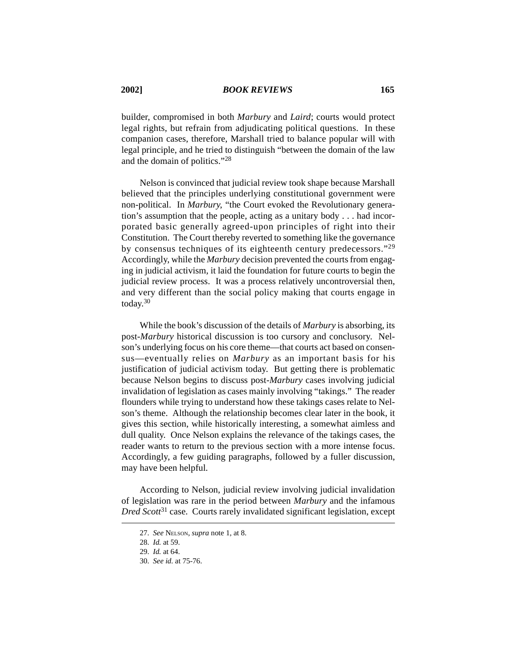builder, compromised in both *Marbury* and *Laird*; courts would protect legal rights, but refrain from adjudicating political questions. In these companion cases, therefore, Marshall tried to balance popular will with legal principle, and he tried to distinguish "between the domain of the law and the domain of politics."28

Nelson is convinced that judicial review took shape because Marshall believed that the principles underlying constitutional government were non-political. In *Marbury*, "the Court evoked the Revolutionary generation's assumption that the people, acting as a unitary body . . . had incorporated basic generally agreed-upon principles of right into their Constitution. The Court thereby reverted to something like the governance by consensus techniques of its eighteenth century predecessors."29 Accordingly, while the *Marbury* decision prevented the courts from engaging in judicial activism, it laid the foundation for future courts to begin the judicial review process. It was a process relatively uncontroversial then, and very different than the social policy making that courts engage in today.<sup>30</sup>

While the book's discussion of the details of *Marbury* is absorbing, its post-*Marbury* historical discussion is too cursory and conclusory. Nelson's underlying focus on his core theme—that courts act based on consensus—eventually relies on *Marbury* as an important basis for his justification of judicial activism today. But getting there is problematic because Nelson begins to discuss post-*Marbury* cases involving judicial invalidation of legislation as cases mainly involving "takings." The reader flounders while trying to understand how these takings cases relate to Nelson's theme. Although the relationship becomes clear later in the book, it gives this section, while historically interesting, a somewhat aimless and dull quality. Once Nelson explains the relevance of the takings cases, the reader wants to return to the previous section with a more intense focus. Accordingly, a few guiding paragraphs, followed by a fuller discussion, may have been helpful.

According to Nelson, judicial review involving judicial invalidation of legislation was rare in the period between *Marbury* and the infamous *Dred Scott*31 case. Courts rarely invalidated significant legislation, except

<sup>27.</sup> *See* NELSON, *supra* note 1, at 8.

<sup>28.</sup> *Id.* at 59.

<sup>29.</sup> *Id.* at 64.

<sup>30.</sup> *See id.* at 75-76.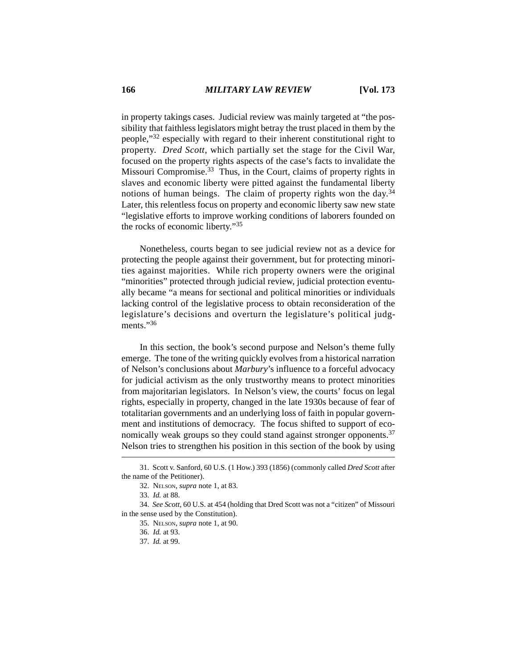in property takings cases. Judicial review was mainly targeted at "the possibility that faithless legislators might betray the trust placed in them by the people,"32 especially with regard to their inherent constitutional right to property. *Dred Scott*, which partially set the stage for the Civil War, focused on the property rights aspects of the case's facts to invalidate the Missouri Compromise.<sup>33</sup> Thus, in the Court, claims of property rights in slaves and economic liberty were pitted against the fundamental liberty notions of human beings. The claim of property rights won the day.<sup>34</sup> Later, this relentless focus on property and economic liberty saw new state "legislative efforts to improve working conditions of laborers founded on the rocks of economic liberty."35

Nonetheless, courts began to see judicial review not as a device for protecting the people against their government, but for protecting minorities against majorities. While rich property owners were the original "minorities" protected through judicial review, judicial protection eventually became "a means for sectional and political minorities or individuals lacking control of the legislative process to obtain reconsideration of the legislature's decisions and overturn the legislature's political judgments<sup>"36</sup>

In this section, the book's second purpose and Nelson's theme fully emerge. The tone of the writing quickly evolves from a historical narration of Nelson's conclusions about *Marbury*'s influence to a forceful advocacy for judicial activism as the only trustworthy means to protect minorities from majoritarian legislators. In Nelson's view, the courts' focus on legal rights, especially in property, changed in the late 1930s because of fear of totalitarian governments and an underlying loss of faith in popular government and institutions of democracy. The focus shifted to support of economically weak groups so they could stand against stronger opponents.<sup>37</sup> Nelson tries to strengthen his position in this section of the book by using

<sup>31.</sup> Scott v. Sanford, 60 U.S. (1 How.) 393 (1856) (commonly called *Dred Scott* after the name of the Petitioner).

<sup>32.</sup> NELSON, *supra* note 1, at 83.

<sup>33.</sup> *Id.* at 88.

<sup>34.</sup> *See Scott*, 60 U.S. at 454 (holding that Dred Scott was not a "citizen" of Missouri in the sense used by the Constitution).

<sup>35.</sup> NELSON, *supra* note 1, at 90.

<sup>36.</sup> *Id.* at 93.

<sup>37.</sup> *Id.* at 99.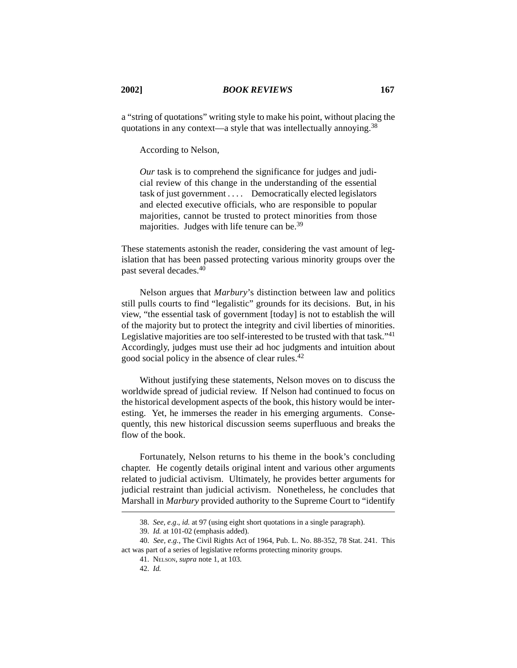a "string of quotations" writing style to make his point, without placing the quotations in any context—a style that was intellectually annoying.38

According to Nelson,

*Our* task is to comprehend the significance for judges and judicial review of this change in the understanding of the essential task of just government . . . . Democratically elected legislators and elected executive officials, who are responsible to popular majorities, cannot be trusted to protect minorities from those majorities. Judges with life tenure can be.<sup>39</sup>

These statements astonish the reader, considering the vast amount of legislation that has been passed protecting various minority groups over the past several decades.<sup>40</sup>

Nelson argues that *Marbury*'s distinction between law and politics still pulls courts to find "legalistic" grounds for its decisions. But, in his view, "the essential task of government [today] is not to establish the will of the majority but to protect the integrity and civil liberties of minorities. Legislative majorities are too self-interested to be trusted with that task."<sup>41</sup> Accordingly, judges must use their ad hoc judgments and intuition about good social policy in the absence of clear rules.42

Without justifying these statements, Nelson moves on to discuss the worldwide spread of judicial review. If Nelson had continued to focus on the historical development aspects of the book, this history would be interesting. Yet, he immerses the reader in his emerging arguments. Consequently, this new historical discussion seems superfluous and breaks the flow of the book.

Fortunately, Nelson returns to his theme in the book's concluding chapter. He cogently details original intent and various other arguments related to judicial activism. Ultimately, he provides better arguments for judicial restraint than judicial activism. Nonetheless, he concludes that Marshall in *Marbury* provided authority to the Supreme Court to "identify

<sup>38.</sup> *See, e.g*., *id.* at 97 (using eight short quotations in a single paragraph).

<sup>39.</sup> *Id.* at 101-02 (emphasis added).

<sup>40.</sup> *See, e.g.*, The Civil Rights Act of 1964, Pub. L. No. 88-352, 78 Stat. 241. This act was part of a series of legislative reforms protecting minority groups.

<sup>41.</sup> NELSON, *supra* note 1, at 103.

<sup>42.</sup> *Id.*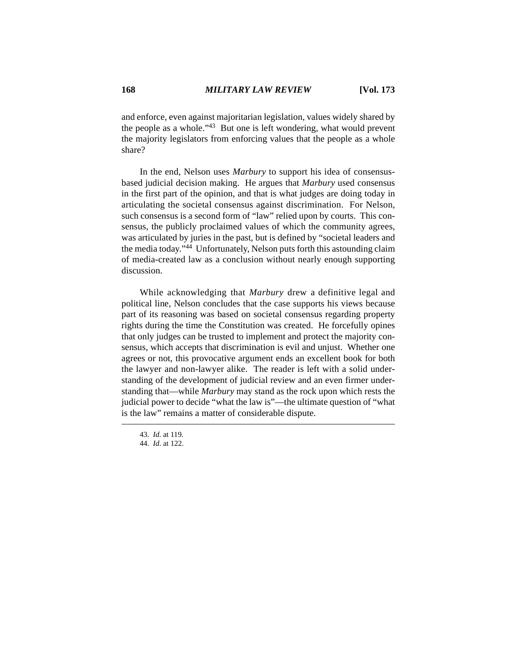and enforce, even against majoritarian legislation, values widely shared by the people as a whole."43 But one is left wondering, what would prevent the majority legislators from enforcing values that the people as a whole share?

In the end, Nelson uses *Marbury* to support his idea of consensusbased judicial decision making. He argues that *Marbury* used consensus in the first part of the opinion, and that is what judges are doing today in articulating the societal consensus against discrimination. For Nelson, such consensus is a second form of "law" relied upon by courts. This consensus, the publicly proclaimed values of which the community agrees, was articulated by juries in the past, but is defined by "societal leaders and the media today."44 Unfortunately, Nelson puts forth this astounding claim of media-created law as a conclusion without nearly enough supporting discussion.

While acknowledging that *Marbury* drew a definitive legal and political line, Nelson concludes that the case supports his views because part of its reasoning was based on societal consensus regarding property rights during the time the Constitution was created. He forcefully opines that only judges can be trusted to implement and protect the majority consensus, which accepts that discrimination is evil and unjust. Whether one agrees or not, this provocative argument ends an excellent book for both the lawyer and non-lawyer alike. The reader is left with a solid understanding of the development of judicial review and an even firmer understanding that—while *Marbury* may stand as the rock upon which rests the judicial power to decide "what the law is"—the ultimate question of "what is the law" remains a matter of considerable dispute.

<sup>43.</sup> *Id*. at 119.

<sup>44.</sup> *Id*. at 122.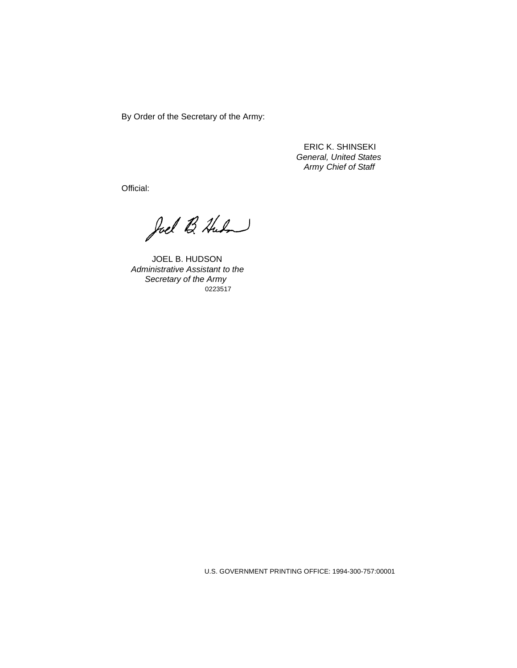By Order of the Secretary of the Army:

ERIC K. SHINSEKI General, United States Army Chief of Staff

Official:

Joel B. Huden

JOEL B. HUDSON Administrative Assistant to the Secretary of the Army 0223517

U.S. GOVERNMENT PRINTING OFFICE: 1994-300-757:00001